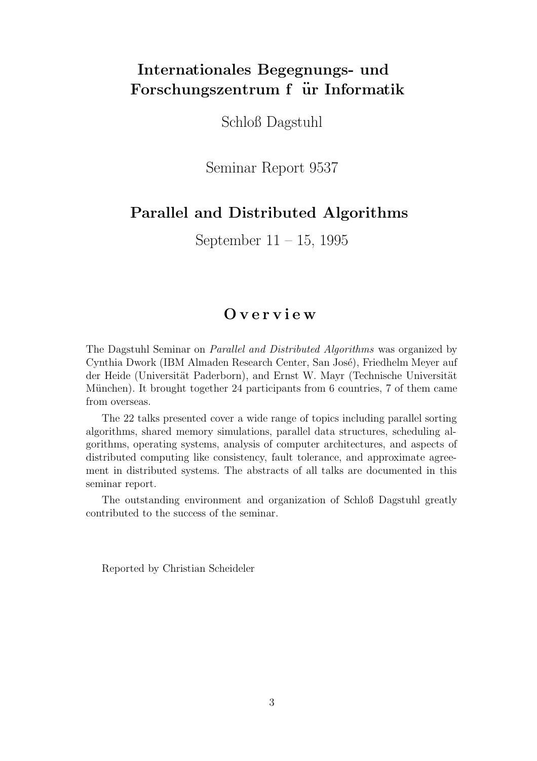# Internationales Begegnungs- und Forschungszentrum f ür Informatik

Schloß Dagstuhl

Seminar Report 9537

## Parallel and Distributed Algorithms

September 11 – 15, 1995

## O v e r v i e w

The Dagstuhl Seminar on Parallel and Distributed Algorithms was organized by Cynthia Dwork (IBM Almaden Research Center, San José), Friedhelm Meyer auf der Heide (Universität Paderborn), and Ernst W. Mayr (Technische Universität München). It brought together 24 participants from 6 countries, 7 of them came from overseas.

The 22 talks presented cover a wide range of topics including parallel sorting algorithms, shared memory simulations, parallel data structures, scheduling algorithms, operating systems, analysis of computer architectures, and aspects of distributed computing like consistency, fault tolerance, and approximate agreement in distributed systems. The abstracts of all talks are documented in this seminar report.

The outstanding environment and organization of Schloß Dagstuhl greatly contributed to the success of the seminar.

Reported by Christian Scheideler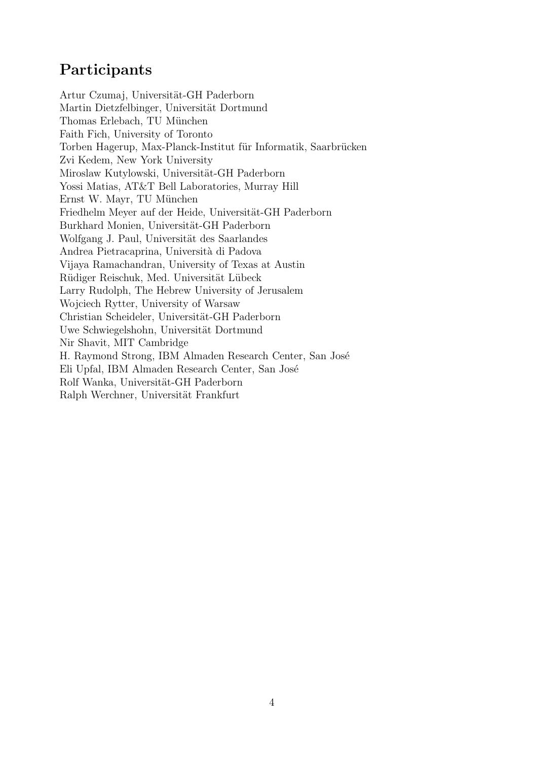# Participants

Artur Czumaj, Universität-GH Paderborn Martin Dietzfelbinger, Universität Dortmund Thomas Erlebach, TU München Faith Fich, University of Toronto Torben Hagerup, Max-Planck-Institut für Informatik, Saarbrücken Zvi Kedem, New York University Miroslaw Kutylowski, Universität-GH Paderborn Yossi Matias, AT&T Bell Laboratories, Murray Hill Ernst W. Mayr, TU München Friedhelm Meyer auf der Heide, Universität-GH Paderborn Burkhard Monien, Universität-GH Paderborn Wolfgang J. Paul, Universität des Saarlandes Andrea Pietracaprina, Universit`a di Padova Vijaya Ramachandran, University of Texas at Austin Rüdiger Reischuk, Med. Universität Lübeck Larry Rudolph, The Hebrew University of Jerusalem Wojciech Rytter, University of Warsaw Christian Scheideler, Universität-GH Paderborn Uwe Schwiegelshohn, Universität Dortmund Nir Shavit, MIT Cambridge H. Raymond Strong, IBM Almaden Research Center, San José Eli Upfal, IBM Almaden Research Center, San José Rolf Wanka, Universität-GH Paderborn Ralph Werchner, Universität Frankfurt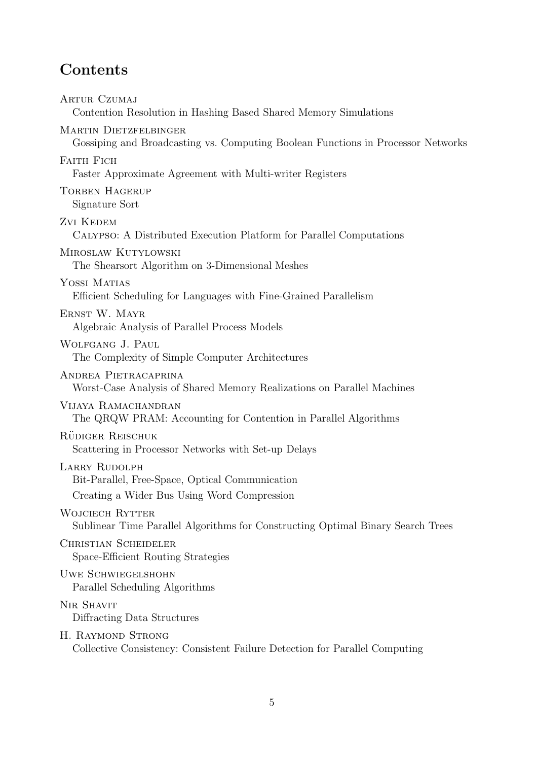## Contents

Artur Czumaj Contention Resolution in Hashing Based Shared Memory Simulations MARTIN DIETZFELBINGER Gossiping and Broadcasting vs. Computing Boolean Functions in Processor Networks FAITH FICH Faster Approximate Agreement with Multi-writer Registers TORBEN HAGERUP Signature Sort Zvi Kedem Calypso: A Distributed Execution Platform for Parallel Computations Miroslaw Kutylowski The Shearsort Algorithm on 3-Dimensional Meshes YOSSI MATIAS Efficient Scheduling for Languages with Fine-Grained Parallelism Ernst W. Mayr Algebraic Analysis of Parallel Process Models Wolfgang J. Paul The Complexity of Simple Computer Architectures Andrea Pietracaprina Worst-Case Analysis of Shared Memory Realizations on Parallel Machines VIJAYA RAMACHANDRAN The QRQW PRAM: Accounting for Contention in Parallel Algorithms RÜDIGER REISCHUK Scattering in Processor Networks with Set-up Delays LARRY RUDOLPH Bit-Parallel, Free-Space, Optical Communication Creating a Wider Bus Using Word Compression WOJCIECH RYTTER Sublinear Time Parallel Algorithms for Constructing Optimal Binary Search Trees Christian Scheideler Space-Efficient Routing Strategies Uwe Schwiegelshohn Parallel Scheduling Algorithms NIR SHAVIT Diffracting Data Structures H. RAYMOND STRONG

Collective Consistency: Consistent Failure Detection for Parallel Computing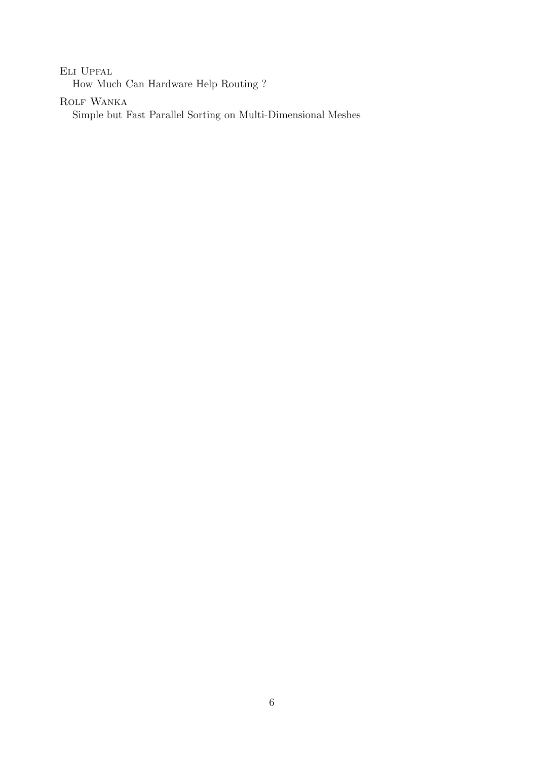Eli Upfal

How Much Can Hardware Help Routing ?

ROLF WANKA

Simple but Fast Parallel Sorting on Multi-Dimensional Meshes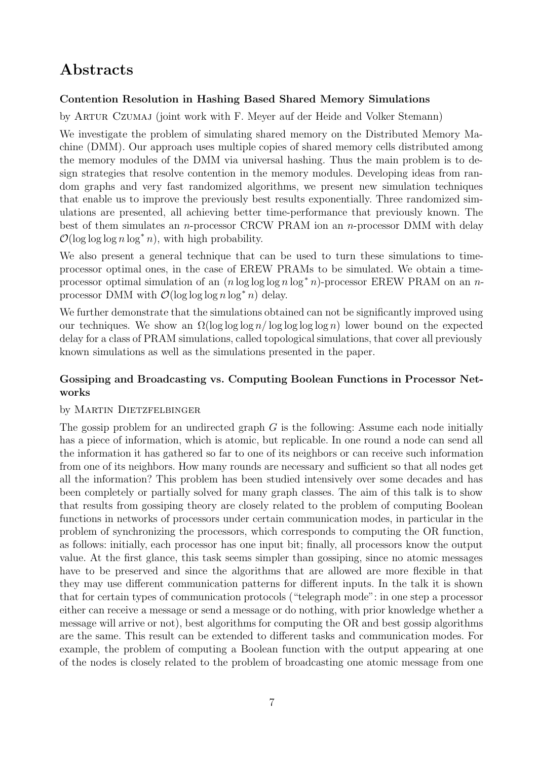## Abstracts

### Contention Resolution in Hashing Based Shared Memory Simulations

by Artur Czumaj (joint work with F. Meyer auf der Heide and Volker Stemann)

We investigate the problem of simulating shared memory on the Distributed Memory Machine (DMM). Our approach uses multiple copies of shared memory cells distributed among the memory modules of the DMM via universal hashing. Thus the main problem is to design strategies that resolve contention in the memory modules. Developing ideas from random graphs and very fast randomized algorithms, we present new simulation techniques that enable us to improve the previously best results exponentially. Three randomized simulations are presented, all achieving better time-performance that previously known. The best of them simulates an *n*-processor CRCW PRAM ion an *n*-processor DMM with delay  $\mathcal{O}(\log \log \log n \log^* n)$ , with high probability.

We also present a general technique that can be used to turn these simulations to timeprocessor optimal ones, in the case of EREW PRAMs to be simulated. We obtain a timeprocessor optimal simulation of an  $(n \log \log \log n \log^* n)$ -processor EREW PRAM on an nprocessor DMM with  $\mathcal{O}(\log \log \log n \log^* n)$  delay.

We further demonstrate that the simulations obtained can not be significantly improved using our techniques. We show an  $\Omega(\log \log \log n / \log \log \log n)$  lower bound on the expected delay for a class of PRAM simulations, called topological simulations, that cover all previously known simulations as well as the simulations presented in the paper.

### Gossiping and Broadcasting vs. Computing Boolean Functions in Processor Networks

### by MARTIN DIETZFELBINGER

The gossip problem for an undirected graph  $G$  is the following: Assume each node initially has a piece of information, which is atomic, but replicable. In one round a node can send all the information it has gathered so far to one of its neighbors or can receive such information from one of its neighbors. How many rounds are necessary and sufficient so that all nodes get all the information? This problem has been studied intensively over some decades and has been completely or partially solved for many graph classes. The aim of this talk is to show that results from gossiping theory are closely related to the problem of computing Boolean functions in networks of processors under certain communication modes, in particular in the problem of synchronizing the processors, which corresponds to computing the OR function, as follows: initially, each processor has one input bit; finally, all processors know the output value. At the first glance, this task seems simpler than gossiping, since no atomic messages have to be preserved and since the algorithms that are allowed are more flexible in that they may use different communication patterns for different inputs. In the talk it is shown that for certain types of communication protocols ("telegraph mode": in one step a processor either can receive a message or send a message or do nothing, with prior knowledge whether a message will arrive or not), best algorithms for computing the OR and best gossip algorithms are the same. This result can be extended to different tasks and communication modes. For example, the problem of computing a Boolean function with the output appearing at one of the nodes is closely related to the problem of broadcasting one atomic message from one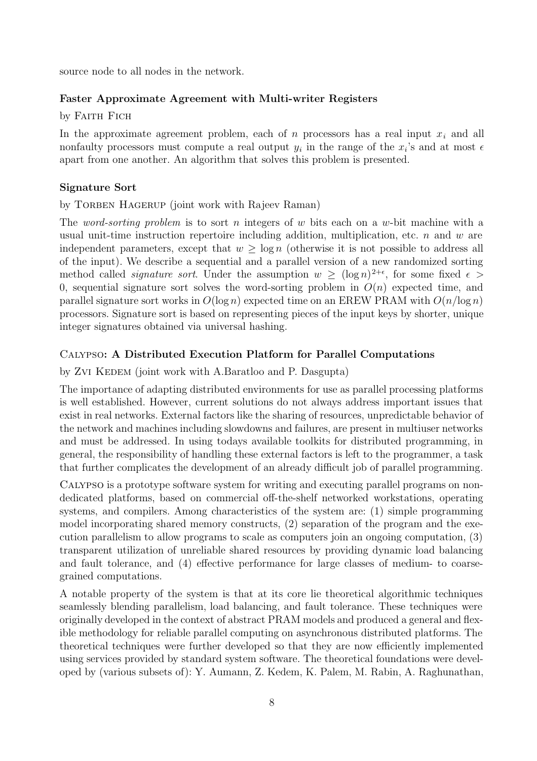source node to all nodes in the network.

#### Faster Approximate Agreement with Multi-writer Registers

by FAITH FICH

In the approximate agreement problem, each of n processors has a real input  $x_i$  and all nonfaulty processors must compute a real output  $y_i$  in the range of the  $x_i$ 's and at most  $\epsilon$ apart from one another. An algorithm that solves this problem is presented.

#### Signature Sort

by TORBEN HAGERUP (joint work with Rajeev Raman)

The word-sorting problem is to sort n integers of w bits each on a w-bit machine with a usual unit-time instruction repertoire including addition, multiplication, etc.  $n$  and  $w$  are independent parameters, except that  $w \geq \log n$  (otherwise it is not possible to address all of the input). We describe a sequential and a parallel version of a new randomized sorting method called *signature sort*. Under the assumption  $w \geq (\log n)^{2+\epsilon}$ , for some fixed  $\epsilon >$ 0, sequential signature sort solves the word-sorting problem in  $O(n)$  expected time, and parallel signature sort works in  $O(\log n)$  expected time on an EREW PRAM with  $O(n/\log n)$ processors. Signature sort is based on representing pieces of the input keys by shorter, unique integer signatures obtained via universal hashing.

#### Calypso: A Distributed Execution Platform for Parallel Computations

by Zvi KEDEM (joint work with A.Baratloo and P. Dasgupta)

The importance of adapting distributed environments for use as parallel processing platforms is well established. However, current solutions do not always address important issues that exist in real networks. External factors like the sharing of resources, unpredictable behavior of the network and machines including slowdowns and failures, are present in multiuser networks and must be addressed. In using todays available toolkits for distributed programming, in general, the responsibility of handling these external factors is left to the programmer, a task that further complicates the development of an already difficult job of parallel programming.

Calypso is a prototype software system for writing and executing parallel programs on nondedicated platforms, based on commercial off-the-shelf networked workstations, operating systems, and compilers. Among characteristics of the system are: (1) simple programming model incorporating shared memory constructs, (2) separation of the program and the execution parallelism to allow programs to scale as computers join an ongoing computation, (3) transparent utilization of unreliable shared resources by providing dynamic load balancing and fault tolerance, and (4) effective performance for large classes of medium- to coarsegrained computations.

A notable property of the system is that at its core lie theoretical algorithmic techniques seamlessly blending parallelism, load balancing, and fault tolerance. These techniques were originally developed in the context of abstract PRAM models and produced a general and flexible methodology for reliable parallel computing on asynchronous distributed platforms. The theoretical techniques were further developed so that they are now efficiently implemented using services provided by standard system software. The theoretical foundations were developed by (various subsets of): Y. Aumann, Z. Kedem, K. Palem, M. Rabin, A. Raghunathan,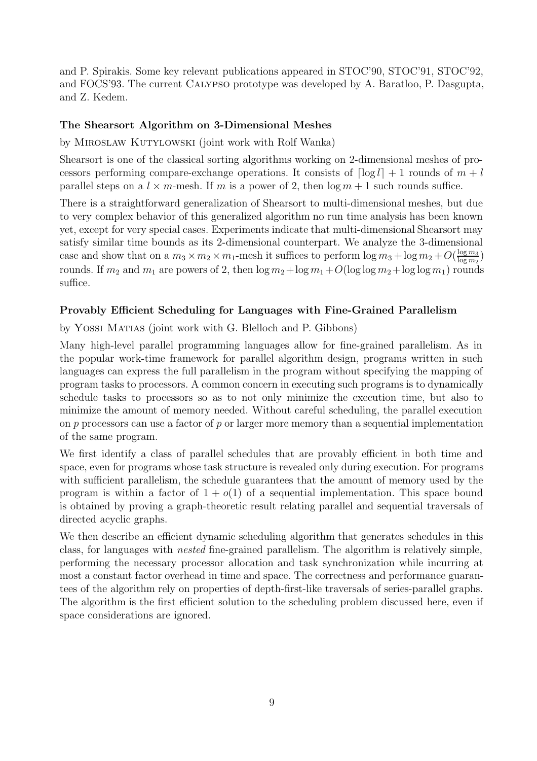and P. Spirakis. Some key relevant publications appeared in STOC'90, STOC'91, STOC'92, and FOCS'93. The current CALYPSO prototype was developed by A. Baratloo, P. Dasgupta, and Z. Kedem.

#### The Shearsort Algorithm on 3-Dimensional Meshes

by MIROSLAW KUTYLOWSKI (joint work with Rolf Wanka)

Shearsort is one of the classical sorting algorithms working on 2-dimensional meshes of processors performing compare-exchange operations. It consists of  $\lceil \log l \rceil + 1$  rounds of  $m + l$ parallel steps on a  $l \times m$ -mesh. If m is a power of 2, then  $\log m + 1$  such rounds suffice.

There is a straightforward generalization of Shearsort to multi-dimensional meshes, but due to very complex behavior of this generalized algorithm no run time analysis has been known yet, except for very special cases. Experiments indicate that multi-dimensional Shearsort may satisfy similar time bounds as its 2-dimensional counterpart. We analyze the 3-dimensional case and show that on a  $m_3 \times m_2 \times m_1$ -mesh it suffices to perform  $\log m_3 + \log m_2 + O(\frac{\log m_3}{\log m_2})$  $\frac{\log m_3}{\log m_2}$ rounds. If  $m_2$  and  $m_1$  are powers of 2, then  $\log m_2 + \log m_1 + O(\log \log m_2 + \log \log m_1)$  rounds suffice.

#### Provably Efficient Scheduling for Languages with Fine-Grained Parallelism

by Yossi Matias (joint work with G. Blelloch and P. Gibbons)

Many high-level parallel programming languages allow for fine-grained parallelism. As in the popular work-time framework for parallel algorithm design, programs written in such languages can express the full parallelism in the program without specifying the mapping of program tasks to processors. A common concern in executing such programs is to dynamically schedule tasks to processors so as to not only minimize the execution time, but also to minimize the amount of memory needed. Without careful scheduling, the parallel execution on  $p$  processors can use a factor of  $p$  or larger more memory than a sequential implementation of the same program.

We first identify a class of parallel schedules that are provably efficient in both time and space, even for programs whose task structure is revealed only during execution. For programs with sufficient parallelism, the schedule guarantees that the amount of memory used by the program is within a factor of  $1 + o(1)$  of a sequential implementation. This space bound is obtained by proving a graph-theoretic result relating parallel and sequential traversals of directed acyclic graphs.

We then describe an efficient dynamic scheduling algorithm that generates schedules in this class, for languages with nested fine-grained parallelism. The algorithm is relatively simple, performing the necessary processor allocation and task synchronization while incurring at most a constant factor overhead in time and space. The correctness and performance guarantees of the algorithm rely on properties of depth-first-like traversals of series-parallel graphs. The algorithm is the first efficient solution to the scheduling problem discussed here, even if space considerations are ignored.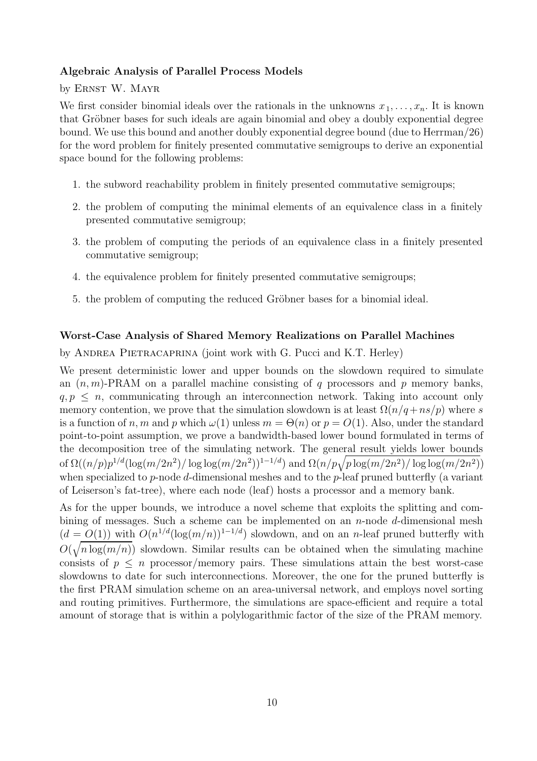#### Algebraic Analysis of Parallel Process Models

by ERNST W. MAYR

We first consider binomial ideals over the rationals in the unknowns  $x_1, \ldots, x_n$ . It is known that Gröbner bases for such ideals are again binomial and obey a doubly exponential degree bound. We use this bound and another doubly exponential degree bound (due to Herrman/26) for the word problem for finitely presented commutative semigroups to derive an exponential space bound for the following problems:

- 1. the subword reachability problem in finitely presented commutative semigroups;
- 2. the problem of computing the minimal elements of an equivalence class in a finitely presented commutative semigroup;
- 3. the problem of computing the periods of an equivalence class in a finitely presented commutative semigroup;
- 4. the equivalence problem for finitely presented commutative semigroups;
- 5. the problem of computing the reduced Gröbner bases for a binomial ideal.

#### Worst-Case Analysis of Shared Memory Realizations on Parallel Machines

by ANDREA PIETRACAPRINA (joint work with G. Pucci and K.T. Herley)

We present deterministic lower and upper bounds on the slowdown required to simulate an  $(n, m)$ -PRAM on a parallel machine consisting of q processors and p memory banks,  $q, p \leq n$ , communicating through an interconnection network. Taking into account only memory contention, we prove that the simulation slowdown is at least  $\Omega(n/q + ns/p)$  where s is a function of n, m and p which  $\omega(1)$  unless  $m = \Theta(n)$  or  $p = O(1)$ . Also, under the standard point-to-point assumption, we prove a bandwidth-based lower bound formulated in terms of the decomposition tree of the simulating network. The general result yields lower bounds of  $\Omega((n/p)p^{1/d}(\log(m/2n^2)/\log\log(m/2n^2))^{1-1/d})$  and  $\Omega(n/p\sqrt{p\log(m/2n^2)/\log\log(m/2n^2)})$ when specialized to p-node d-dimensional meshes and to the p-leaf pruned butterfly (a variant of Leiserson's fat-tree), where each node (leaf) hosts a processor and a memory bank.

As for the upper bounds, we introduce a novel scheme that exploits the splitting and combining of messages. Such a scheme can be implemented on an *n*-node *d*-dimensional mesh  $(d = O(1))$  with  $O(n^{1/d}(\log(m/n))^{1-1/d})$  slowdown, and on an n-leaf pruned butterfly with  $O(\sqrt{n \log(m/n)})$  slowdown. Similar results can be obtained when the simulating machine consists of  $p \leq n$  processor/memory pairs. These simulations attain the best worst-case slowdowns to date for such interconnections. Moreover, the one for the pruned butterfly is the first PRAM simulation scheme on an area-universal network, and employs novel sorting and routing primitives. Furthermore, the simulations are space-efficient and require a total amount of storage that is within a polylogarithmic factor of the size of the PRAM memory.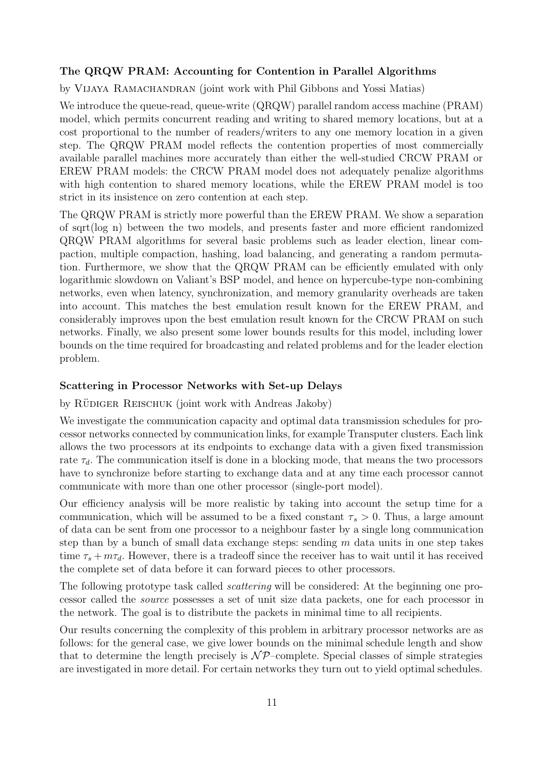#### The QRQW PRAM: Accounting for Contention in Parallel Algorithms

by Vijaya Ramachandran (joint work with Phil Gibbons and Yossi Matias)

We introduce the queue-read, queue-write  $(QRQW)$  parallel random access machine (PRAM) model, which permits concurrent reading and writing to shared memory locations, but at a cost proportional to the number of readers/writers to any one memory location in a given step. The QRQW PRAM model reflects the contention properties of most commercially available parallel machines more accurately than either the well-studied CRCW PRAM or EREW PRAM models: the CRCW PRAM model does not adequately penalize algorithms with high contention to shared memory locations, while the EREW PRAM model is too strict in its insistence on zero contention at each step.

The QRQW PRAM is strictly more powerful than the EREW PRAM. We show a separation of sqrt(log n) between the two models, and presents faster and more efficient randomized QRQW PRAM algorithms for several basic problems such as leader election, linear compaction, multiple compaction, hashing, load balancing, and generating a random permutation. Furthermore, we show that the QRQW PRAM can be efficiently emulated with only logarithmic slowdown on Valiant's BSP model, and hence on hypercube-type non-combining networks, even when latency, synchronization, and memory granularity overheads are taken into account. This matches the best emulation result known for the EREW PRAM, and considerably improves upon the best emulation result known for the CRCW PRAM on such networks. Finally, we also present some lower bounds results for this model, including lower bounds on the time required for broadcasting and related problems and for the leader election problem.

#### Scattering in Processor Networks with Set-up Delays

by RÜDIGER REISCHUK (joint work with Andreas Jakoby)

We investigate the communication capacity and optimal data transmission schedules for processor networks connected by communication links, for example Transputer clusters. Each link allows the two processors at its endpoints to exchange data with a given fixed transmission rate  $\tau_d$ . The communication itself is done in a blocking mode, that means the two processors have to synchronize before starting to exchange data and at any time each processor cannot communicate with more than one other processor (single-port model).

Our efficiency analysis will be more realistic by taking into account the setup time for a communication, which will be assumed to be a fixed constant  $\tau_s > 0$ . Thus, a large amount of data can be sent from one processor to a neighbour faster by a single long communication step than by a bunch of small data exchange steps: sending  $m$  data units in one step takes time  $\tau_s + m\tau_d$ . However, there is a tradeoff since the receiver has to wait until it has received the complete set of data before it can forward pieces to other processors.

The following prototype task called *scattering* will be considered: At the beginning one processor called the source possesses a set of unit size data packets, one for each processor in the network. The goal is to distribute the packets in minimal time to all recipients.

Our results concerning the complexity of this problem in arbitrary processor networks are as follows: for the general case, we give lower bounds on the minimal schedule length and show that to determine the length precisely is  $N\mathcal{P}$ –complete. Special classes of simple strategies are investigated in more detail. For certain networks they turn out to yield optimal schedules.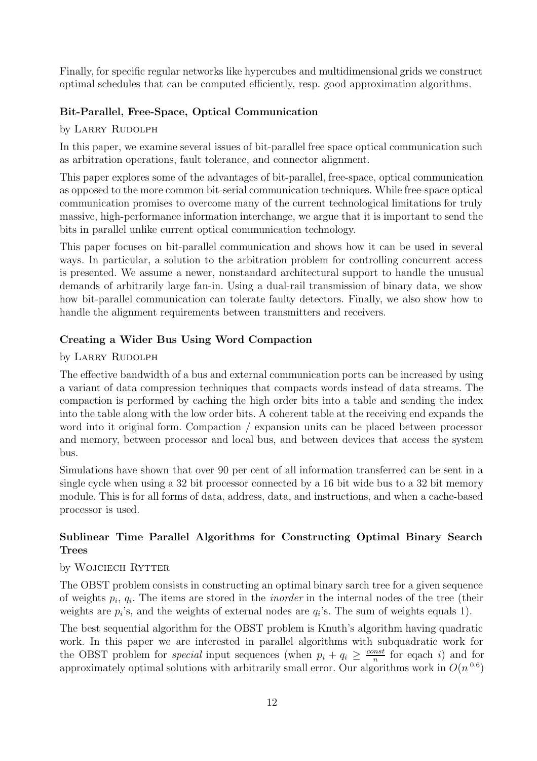Finally, for specific regular networks like hypercubes and multidimensional grids we construct optimal schedules that can be computed efficiently, resp. good approximation algorithms.

#### Bit-Parallel, Free-Space, Optical Communication

#### by LARRY RUDOLPH

In this paper, we examine several issues of bit-parallel free space optical communication such as arbitration operations, fault tolerance, and connector alignment.

This paper explores some of the advantages of bit-parallel, free-space, optical communication as opposed to the more common bit-serial communication techniques. While free-space optical communication promises to overcome many of the current technological limitations for truly massive, high-performance information interchange, we argue that it is important to send the bits in parallel unlike current optical communication technology.

This paper focuses on bit-parallel communication and shows how it can be used in several ways. In particular, a solution to the arbitration problem for controlling concurrent access is presented. We assume a newer, nonstandard architectural support to handle the unusual demands of arbitrarily large fan-in. Using a dual-rail transmission of binary data, we show how bit-parallel communication can tolerate faulty detectors. Finally, we also show how to handle the alignment requirements between transmitters and receivers.

#### Creating a Wider Bus Using Word Compaction

#### by LARRY RUDOLPH

The effective bandwidth of a bus and external communication ports can be increased by using a variant of data compression techniques that compacts words instead of data streams. The compaction is performed by caching the high order bits into a table and sending the index into the table along with the low order bits. A coherent table at the receiving end expands the word into it original form. Compaction / expansion units can be placed between processor and memory, between processor and local bus, and between devices that access the system bus.

Simulations have shown that over 90 per cent of all information transferred can be sent in a single cycle when using a 32 bit processor connected by a 16 bit wide bus to a 32 bit memory module. This is for all forms of data, address, data, and instructions, and when a cache-based processor is used.

### Sublinear Time Parallel Algorithms for Constructing Optimal Binary Search Trees

#### by WOJCIECH RYTTER

The OBST problem consists in constructing an optimal binary sarch tree for a given sequence of weights  $p_i$ ,  $q_i$ . The items are stored in the *inorder* in the internal nodes of the tree (their weights are  $p_i$ 's, and the weights of external nodes are  $q_i$ 's. The sum of weights equals 1).

The best sequential algorithm for the OBST problem is Knuth's algorithm having quadratic work. In this paper we are interested in parallel algorithms with subquadratic work for the OBST problem for *special* input sequences (when  $p_i + q_i \geq \frac{const}{n}$  $\frac{mst}{n}$  for eqach *i*) and for approximately optimal solutions with arbitrarily small error. Our algorithms work in  $O(n^{0.6})$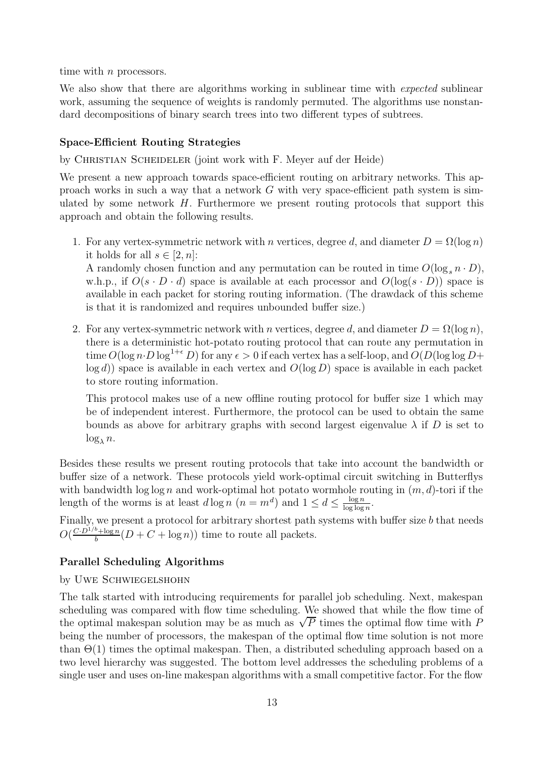time with *n* processors.

We also show that there are algorithms working in sublinear time with *expected* sublinear work, assuming the sequence of weights is randomly permuted. The algorithms use nonstandard decompositions of binary search trees into two different types of subtrees.

#### Space-Efficient Routing Strategies

by CHRISTIAN SCHEIDELER (joint work with F. Meyer auf der Heide)

We present a new approach towards space-efficient routing on arbitrary networks. This approach works in such a way that a network  $G$  with very space-efficient path system is simulated by some network  $H$ . Furthermore we present routing protocols that support this approach and obtain the following results.

1. For any vertex-symmetric network with n vertices, degree d, and diameter  $D = \Omega(\log n)$ it holds for all  $s \in [2, n]$ :

A randomly chosen function and any permutation can be routed in time  $O(\log_s n \cdot D)$ , w.h.p., if  $O(s \cdot D \cdot d)$  space is available at each processor and  $O(\log(s \cdot D))$  space is available in each packet for storing routing information. (The drawdack of this scheme is that it is randomized and requires unbounded buffer size.)

2. For any vertex-symmetric network with n vertices, degree d, and diameter  $D = \Omega(\log n)$ , there is a deterministic hot-potato routing protocol that can route any permutation in time  $O(\log n \cdot D \log^{1+\epsilon} D)$  for any  $\epsilon > 0$  if each vertex has a self-loop, and  $O(D(\log \log D +$  $log d$ ) space is available in each vertex and  $O(log D)$  space is available in each packet to store routing information.

This protocol makes use of a new offline routing protocol for buffer size 1 which may be of independent interest. Furthermore, the protocol can be used to obtain the same bounds as above for arbitrary graphs with second largest eigenvalue  $\lambda$  if D is set to  $\log_{\lambda} n$ .

Besides these results we present routing protocols that take into account the bandwidth or buffer size of a network. These protocols yield work-optimal circuit switching in Butterflys with bandwidth  $\log \log n$  and work-optimal hot potato wormhole routing in  $(m, d)$ -tori if the length of the worms is at least  $d \log n$   $(n = m^d)$  and  $1 \leq d \leq \frac{\log n}{\log \log n}$  $\log \log n$ .

Finally, we present a protocol for arbitrary shortest path systems with buffer size b that needs  $O(\frac{C \cdot D^{1/b} + \log n}{b})$  $\frac{\partial^2 + \log n}{\partial b}(D + C + \log n))$  time to route all packets.

#### Parallel Scheduling Algorithms

#### by Uwe Schwiegelshohn

The talk started with introducing requirements for parallel job scheduling. Next, makespan scheduling was compared with flow time scheduling. We showed that while the flow time of the optimal makespan solution may be as much as  $\sqrt{P}$  times the optimal flow time with P being the number of processors, the makespan of the optimal flow time solution is not more than  $\Theta(1)$  times the optimal makespan. Then, a distributed scheduling approach based on a two level hierarchy was suggested. The bottom level addresses the scheduling problems of a single user and uses on-line makespan algorithms with a small competitive factor. For the flow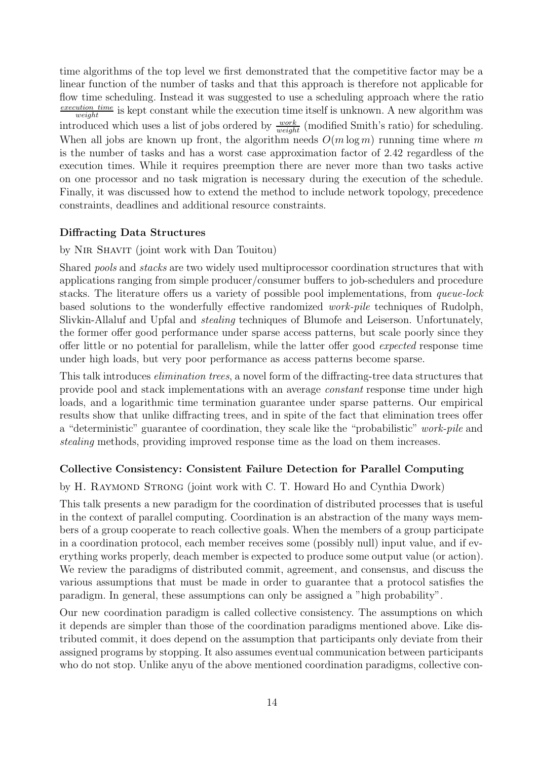time algorithms of the top level we first demonstrated that the competitive factor may be a linear function of the number of tasks and that this approach is therefore not applicable for flow time scheduling. Instead it was suggested to use a scheduling approach where the ratio  $\frac{execution\_time}{weight}$  is kept constant while the execution time itself is unknown. A new algorithm was introduced which uses a list of jobs ordered by  $\frac{work}{weight}$  (modified Smith's ratio) for scheduling. When all jobs are known up front, the algorithm needs  $O(m \log m)$  running time where m is the number of tasks and has a worst case approximation factor of 2.42 regardless of the execution times. While it requires preemption there are never more than two tasks active on one processor and no task migration is necessary during the execution of the schedule. Finally, it was discussed how to extend the method to include network topology, precedence constraints, deadlines and additional resource constraints.

#### Diffracting Data Structures

#### by Nir Shavit (joint work with Dan Touitou)

Shared pools and stacks are two widely used multiprocessor coordination structures that with applications ranging from simple producer/consumer buffers to job-schedulers and procedure stacks. The literature offers us a variety of possible pool implementations, from queue-lock based solutions to the wonderfully effective randomized work-pile techniques of Rudolph, Slivkin-Allaluf and Upfal and stealing techniques of Blumofe and Leiserson. Unfortunately, the former offer good performance under sparse access patterns, but scale poorly since they offer little or no potential for parallelism, while the latter offer good expected response time under high loads, but very poor performance as access patterns become sparse.

This talk introduces elimination trees, a novel form of the diffracting-tree data structures that provide pool and stack implementations with an average constant response time under high loads, and a logarithmic time termination guarantee under sparse patterns. Our empirical results show that unlike diffracting trees, and in spite of the fact that elimination trees offer a "deterministic" guarantee of coordination, they scale like the "probabilistic" work-pile and stealing methods, providing improved response time as the load on them increases.

#### Collective Consistency: Consistent Failure Detection for Parallel Computing

#### by H. RAYMOND STRONG (joint work with C. T. Howard Ho and Cynthia Dwork)

This talk presents a new paradigm for the coordination of distributed processes that is useful in the context of parallel computing. Coordination is an abstraction of the many ways members of a group cooperate to reach collective goals. When the members of a group participate in a coordination protocol, each member receives some (possibly null) input value, and if everything works properly, deach member is expected to produce some output value (or action). We review the paradigms of distributed commit, agreement, and consensus, and discuss the various assumptions that must be made in order to guarantee that a protocol satisfies the paradigm. In general, these assumptions can only be assigned a "high probability".

Our new coordination paradigm is called collective consistency. The assumptions on which it depends are simpler than those of the coordination paradigms mentioned above. Like distributed commit, it does depend on the assumption that participants only deviate from their assigned programs by stopping. It also assumes eventual communication between participants who do not stop. Unlike anyu of the above mentioned coordination paradigms, collective con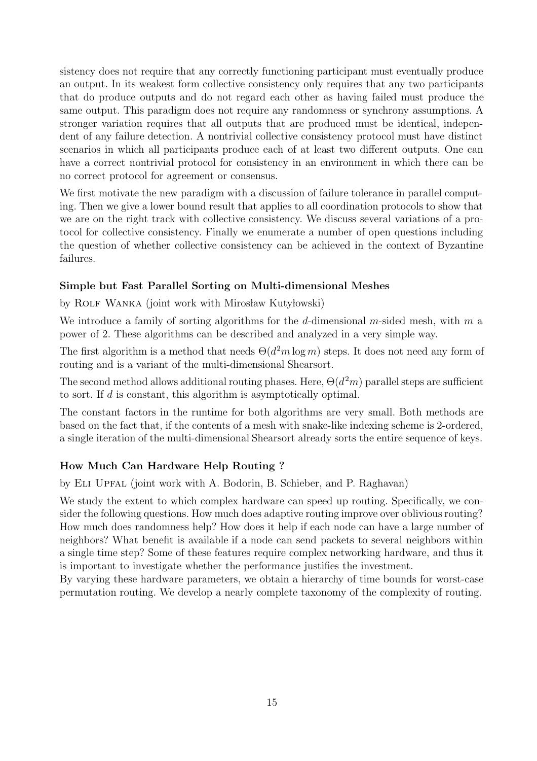sistency does not require that any correctly functioning participant must eventually produce an output. In its weakest form collective consistency only requires that any two participants that do produce outputs and do not regard each other as having failed must produce the same output. This paradigm does not require any randomness or synchrony assumptions. A stronger variation requires that all outputs that are produced must be identical, independent of any failure detection. A nontrivial collective consistency protocol must have distinct scenarios in which all participants produce each of at least two different outputs. One can have a correct nontrivial protocol for consistency in an environment in which there can be no correct protocol for agreement or consensus.

We first motivate the new paradigm with a discussion of failure tolerance in parallel computing. Then we give a lower bound result that applies to all coordination protocols to show that we are on the right track with collective consistency. We discuss several variations of a protocol for collective consistency. Finally we enumerate a number of open questions including the question of whether collective consistency can be achieved in the context of Byzantine failures.

#### Simple but Fast Parallel Sorting on Multi-dimensional Meshes

by ROLF WANKA (joint work with Mirosław Kutyłowski)

We introduce a family of sorting algorithms for the d-dimensional m-sided mesh, with  $m$  a power of 2. These algorithms can be described and analyzed in a very simple way.

The first algorithm is a method that needs  $\Theta(d^2m \log m)$  steps. It does not need any form of routing and is a variant of the multi-dimensional Shearsort.

The second method allows additional routing phases. Here,  $\Theta(d^2m)$  parallel steps are sufficient to sort. If d is constant, this algorithm is asymptotically optimal.

The constant factors in the runtime for both algorithms are very small. Both methods are based on the fact that, if the contents of a mesh with snake-like indexing scheme is 2-ordered, a single iteration of the multi-dimensional Shearsort already sorts the entire sequence of keys.

### How Much Can Hardware Help Routing ?

by Eli Upfal (joint work with A. Bodorin, B. Schieber, and P. Raghavan)

We study the extent to which complex hardware can speed up routing. Specifically, we consider the following questions. How much does adaptive routing improve over oblivious routing? How much does randomness help? How does it help if each node can have a large number of neighbors? What benefit is available if a node can send packets to several neighbors within a single time step? Some of these features require complex networking hardware, and thus it is important to investigate whether the performance justifies the investment.

By varying these hardware parameters, we obtain a hierarchy of time bounds for worst-case permutation routing. We develop a nearly complete taxonomy of the complexity of routing.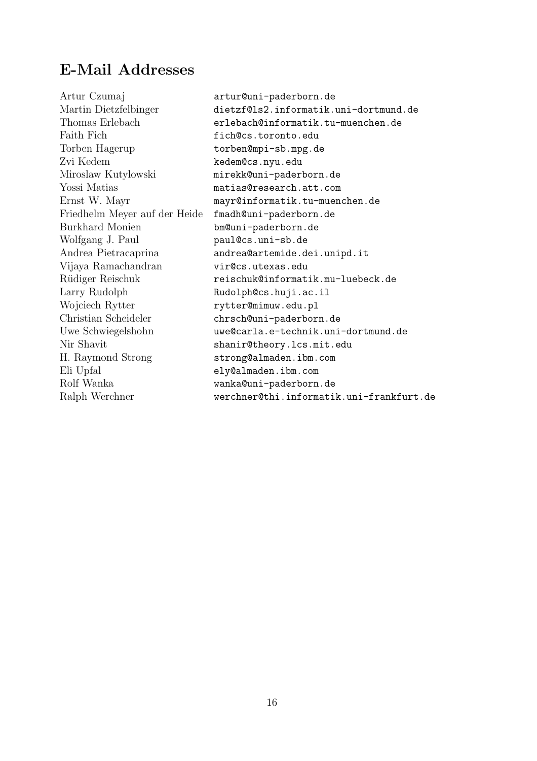# E-Mail Addresses

| Artur Czumaj                  | artur@uni-paderborn.de                   |
|-------------------------------|------------------------------------------|
| Martin Dietzfelbinger         | dietzf@ls2.informatik.uni-dortmund.de    |
| Thomas Erlebach               | erlebach@informatik.tu-muenchen.de       |
| Faith Fich                    | fich@cs.toronto.edu                      |
| Torben Hagerup                | torben@mpi-sb.mpg.de                     |
| Zvi Kedem                     | kedem@cs.nyu.edu                         |
| Miroslaw Kutylowski           | mirekk@uni-paderborn.de                  |
| Yossi Matias                  | matias@research.att.com                  |
| Ernst W. Mayr                 | mayr@informatik.tu-muenchen.de           |
| Friedhelm Meyer auf der Heide | fmadh@uni-paderborn.de                   |
| <b>Burkhard Monien</b>        | bm@uni-paderborn.de                      |
| Wolfgang J. Paul              | paul@cs.uni-sb.de                        |
| Andrea Pietracaprina          | andrea@artemide.dei.unipd.it             |
| Vijaya Ramachandran           | vir@cs.utexas.edu                        |
| Rüdiger Reischuk              | reischuk@informatik.mu-luebeck.de        |
| Larry Rudolph                 | Rudolph@cs.huji.ac.il                    |
| Wojciech Rytter               | rytter@mimuw.edu.pl                      |
| Christian Scheideler          | chrsch@uni-paderborn.de                  |
| Uwe Schwiegelshohn            | uwe@carla.e-technik.uni-dortmund.de      |
| Nir Shavit                    | shanir@theory.lcs.mit.edu                |
| H. Raymond Strong             | strong@almaden.ibm.com                   |
| Eli Upfal                     | ely@almaden.ibm.com                      |
| Rolf Wanka                    | wanka@uni-paderborn.de                   |
| Ralph Werchner                | werchner@thi.informatik.uni-frankfurt.de |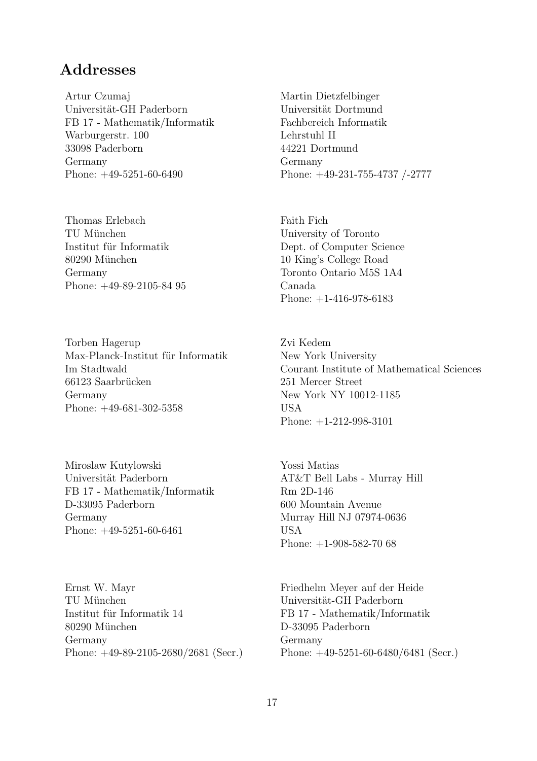## **Addresses**

Artur Czumaj Universität-GH Paderborn FB 17 - Mathematik/Informatik Warburgerstr. 100 33098 Paderborn Germany Phone: +49-5251-60-6490

Thomas Erlebach TU München Institut für Informatik 80290 München Germany Phone: +49-89-2105-84 95

Torben Hagerup Max-Planck-Institut für Informatik Im Stadtwald 66123 Saarbrücken Germany Phone: +49-681-302-5358

Miroslaw Kutylowski Universität Paderborn FB 17 - Mathematik/Informatik D-33095 Paderborn Germany Phone: +49-5251-60-6461

Ernst W. Mayr TU München Institut für Informatik 14 80290 München Germany Phone: +49-89-2105-2680/2681 (Secr.) Martin Dietzfelbinger Universität Dortmund Fachbereich Informatik Lehrstuhl II 44221 Dortmund Germany Phone: +49-231-755-4737 /-2777

Faith Fich University of Toronto Dept. of Computer Science 10 King's College Road Toronto Ontario M5S 1A4 Canada Phone: +1-416-978-6183

Zvi Kedem New York University Courant Institute of Mathematical Sciences 251 Mercer Street New York NY 10012-1185 USA Phone: +1-212-998-3101

Yossi Matias AT&T Bell Labs - Murray Hill Rm 2D-146 600 Mountain Avenue Murray Hill NJ 07974-0636 USA Phone: +1-908-582-70 68

Friedhelm Meyer auf der Heide Universität-GH Paderborn FB 17 - Mathematik/Informatik D-33095 Paderborn Germany Phone: +49-5251-60-6480/6481 (Secr.)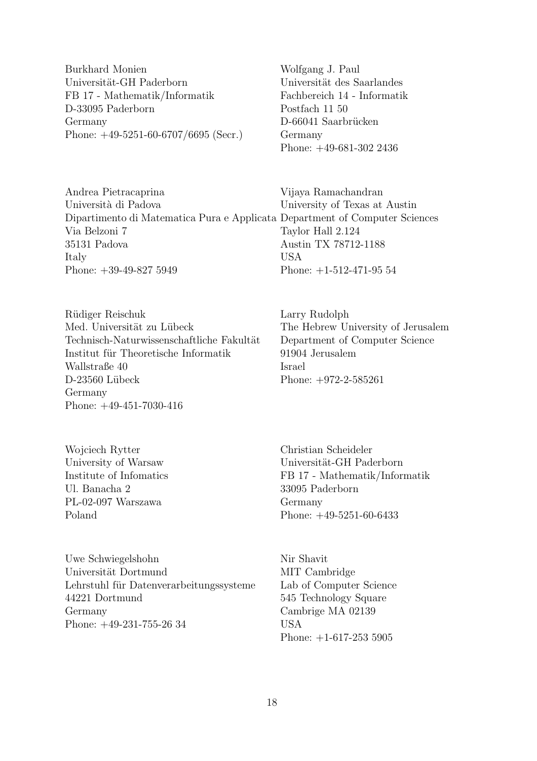Burkhard Monien Universität-GH Paderborn FB 17 - Mathematik/Informatik D-33095 Paderborn Germany Phone: +49-5251-60-6707/6695 (Secr.) Wolfgang J. Paul Universität des Saarlandes Fachbereich 14 - Informatik Postfach 11 50 D-66041 Saarbrücken Germany Phone: +49-681-302 2436

Andrea Pietracaprina Università di Padova Dipartimento di Matematica Pura e Applicata Department of Computer Sciences Via Belzoni 7 35131 Padova Italy Phone: +39-49-827 5949 Vijaya Ramachandran University of Texas at Austin Taylor Hall 2.124 Austin TX 78712-1188 USA Phone: +1-512-471-95 54

Rüdiger Reischuk Med. Universität zu Lübeck Technisch-Naturwissenschaftliche Fakultät Institut für Theoretische Informatik Wallstraße 40 D-23560 Lübeck Germany Phone: +49-451-7030-416

Wojciech Rytter University of Warsaw Institute of Infomatics Ul. Banacha 2 PL-02-097 Warszawa Poland

Uwe Schwiegelshohn Universität Dortmund Lehrstuhl für Datenverarbeitungssysteme 44221 Dortmund Germany Phone: +49-231-755-26 34

Larry Rudolph The Hebrew University of Jerusalem Department of Computer Science 91904 Jerusalem Israel Phone: +972-2-585261

Christian Scheideler Universität-GH Paderborn FB 17 - Mathematik/Informatik 33095 Paderborn Germany Phone: +49-5251-60-6433

Nir Shavit MIT Cambridge Lab of Computer Science 545 Technology Square Cambrige MA 02139 USA Phone: +1-617-253 5905